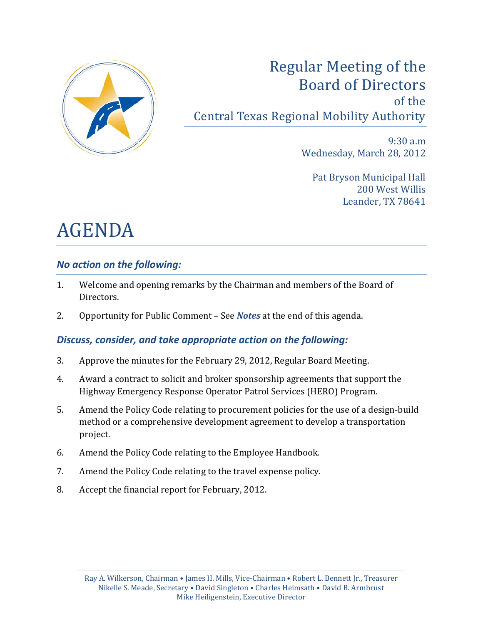

# Regular Meeting of the Board of Directors of the Central Texas Regional Mobility Authority

9:30 a.m Wednesday, March 28, 2012

Pat Bryson Municipal Hall 200 West Willis Leander, TX 78641

# AGENDA

# *No action on the following:*

- 1. Welcome and opening remarks by the Chairman and members of the Board of Directors.
- 2. Opportunity for Public Comment See *Notes* at the end of this agenda.

# *Discuss, consider, and take appropriate action on the following:*

- 3. Approve the minutes for the February 29, 2012, Regular Board Meeting.
- 4. Award a contract to solicit and broker sponsorship agreements that support the Highway Emergency Response Operator Patrol Services (HERO) Program.
- 5. Amend the Policy Code relating to procurement policies for the use of a design-build method or a comprehensive development agreement to develop a transportation project.
- 6. Amend the Policy Code relating to the Employee Handbook.
- 7. Amend the Policy Code relating to the travel expense policy.
- 8. Accept the financial report for February, 2012.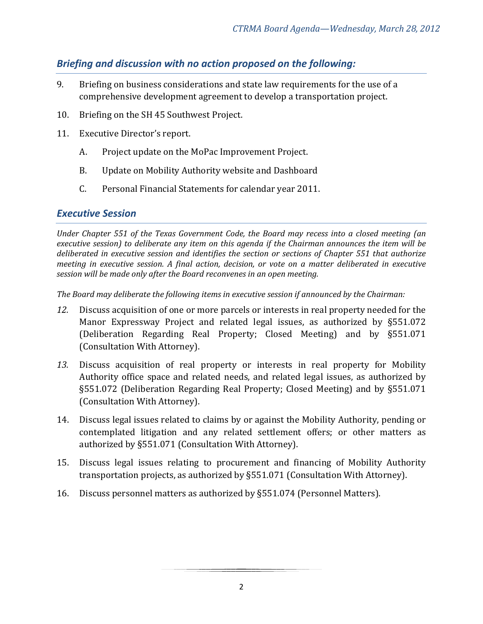## *Briefing and discussion with no action proposed on the following:*

- 9. Briefing on business considerations and state law requirements for the use of a comprehensive development agreement to develop a transportation project.
- 10. Briefing on the SH 45 Southwest Project.
- 11. Executive Director's report.
	- A. Project update on the MoPac Improvement Project.
	- B. Update on Mobility Authority website and Dashboard
	- C. Personal Financial Statements for calendar year 2011.

#### *Executive Session*

*Under Chapter 551 of the Texas Government Code, the Board may recess into a closed meeting (an executive session) to deliberate any item on this agenda if the Chairman announces the item will be deliberated in executive session and identifies the section or sections of Chapter 551 that authorize meeting in executive session. A final action, decision, or vote on a matter deliberated in executive session will be made only after the Board reconvenes in an open meeting.*

*The Board may deliberate the following items in executive session if announced by the Chairman:*

- *12.* Discuss acquisition of one or more parcels or interests in real property needed for the Manor Expressway Project and related legal issues, as authorized by §551.072 (Deliberation Regarding Real Property; Closed Meeting) and by §551.071 (Consultation With Attorney).
- *13.* Discuss acquisition of real property or interests in real property for Mobility Authority office space and related needs, and related legal issues, as authorized by §551.072 (Deliberation Regarding Real Property; Closed Meeting) and by §551.071 (Consultation With Attorney).
- 14. Discuss legal issues related to claims by or against the Mobility Authority, pending or contemplated litigation and any related settlement offers; or other matters as authorized by §551.071 (Consultation With Attorney).
- 15. Discuss legal issues relating to procurement and financing of Mobility Authority transportation projects, as authorized by §551.071 (Consultation With Attorney).
- 16. Discuss personnel matters as authorized by §551.074 (Personnel Matters).